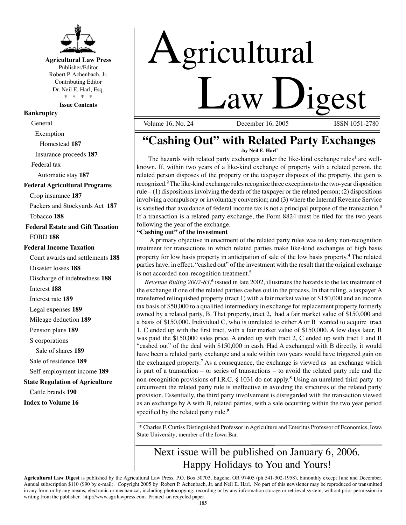

# **Agricultural Law Press**

Publisher/Editor Robert P. Achenbach, Jr. Contributing Editor Dr. Neil E. Harl, Esq. \* \* \* \*

**Issue Contents** 

# **Bankruptcy**

General

Exemption

Homestead **187**

Insurance proceeds **187**

Federal tax

Automatic stay **187**

#### **Federal Agricultural Programs**

Crop insurance **187** 

Packers and Stockyards Act **187** 

Tobacco **188**

 **Federal Estate and Gift Taxation**  FOBD **188** 

### **Federal Income Taxation**

Court awards and settlements **188**  Disaster losses **188**  Discharge of indebtedness **188**  Interest **188**  Interest rate **189**  Legal expenses **189**  Mileage deduction **189**  Pension plans **189**  S corporations Sale of shares **189**  Sale of residence **189**  Self-employment income **189 State Regulation of Agriculture**  Cattle brands **190 Index to Volume 16** 

# Agricultural  $Law \tigest$

Volume 16, No. 24 December 16, 2005

# **"Cashing Out" with Related Party Exchanges**

**-by Neil E. Harl\*** 

The hazards with related party exchanges under the like-kind exchange rules**<sup>1</sup>**are wellknown. If, within two years of a like-kind exchange of property with a related person, the related person disposes of the property or the taxpayer disposes of the property, the gain is recognized. **<sup>2</sup>**The like-kind exchange rules recognize three exceptions to the two-year disposition rule  $-$  (1) dispositions involving the death of the taxpayer or the related person; (2) dispositions involving a compulsory or involuntary conversion; and (3) where the Internal Revenue Service is satisfied that avoidance of federal income tax is not a principal purpose of the transaction.**<sup>3</sup>** If a transaction is a related party exchange, the Form 8824 must be filed for the two years following the year of the exchange.

### **"Cashing out" of the investment**

A primary objective in enactment of the related party rules was to deny non-recognition treatment for transactions in which related parties make like-kind exchanges of high basis property for low basis property in anticipation of sale of the low basis property. **<sup>4</sup>**The related parties have, in effect, "cashed out" of the investment with the result that the original exchange is not accorded non-recognition treatment.**<sup>5</sup>**

Revenue Ruling 2002-83,<sup>6</sup> issued in late 2002, illustrates the hazards to the tax treatment of the exchange if one of the related parties cashes out in the process. In that ruling, a taxpayer A transferred relinquished property (tract 1) with a fair market value of \$150,000 and an income tax basis of \$50,000 to a qualified intermediary in exchange for replacement property formerly owned by a related party, B. That property, tract 2, had a fair market value of \$150,000 and a basis of \$150,000. Individual C, who is unrelated to either A or B wanted to acquire tract 1. C ended up with the first tract, with a fair market value of \$150,000. A few days later, B was paid the \$150,000 sales price. A ended up with tract 2, C ended up with tract 1 and B "cashed out" of the deal with \$150,000 in cash. Had A exchanged with B directly, it would have been a related party exchange and a sale within two years would have triggered gain on the exchanged property. **<sup>7</sup>**As a consequence, the exchange is viewed as an exchange which is part of a transaction – or series of transactions – to avoid the related party rule and the non-recognition provisions of I.R.C. § 1031 do not apply. **<sup>8</sup>**Using an unrelated third party to circumvent the related party rule is ineffective in avoiding the strictures of the related party provision. Essentially, the third party involvement is disregarded with the transaction viewed as an exchange by A with B, related parties, with a sale occurring within the two year period specified by the related party rule.**<sup>9</sup>**

 $\frac{1}{2}$  ,  $\frac{1}{2}$  ,  $\frac{1}{2}$  ,  $\frac{1}{2}$  ,  $\frac{1}{2}$  ,  $\frac{1}{2}$  ,  $\frac{1}{2}$  ,  $\frac{1}{2}$  ,  $\frac{1}{2}$  ,  $\frac{1}{2}$  ,  $\frac{1}{2}$  ,  $\frac{1}{2}$  ,  $\frac{1}{2}$  ,  $\frac{1}{2}$  ,  $\frac{1}{2}$  ,  $\frac{1}{2}$  ,  $\frac{1}{2}$  ,  $\frac{1}{2}$  ,  $\frac{1$ \* Charles F. Curtiss Distinguished Professor in Agriculture and Emeritus Professor of Economics, Iowa State University; member of the Iowa Bar.

# Next issue will be published on January 6, 2006. Happy Holidays to You and Yours!

**Agricultural Law Digest** is published by the Agricultural Law Press, P.O. Box 50703, Eugene, OR 97405 (ph 541-302-1958), bimonthly except June and December. Annual subscription \$110 (\$90 by e-mail). Copyright 2005 by Robert P. Achenbach, Jr. and Neil E. Harl. No part of this newsletter may be reproduced or transmitted in any form or by any means, electronic or mechanical, including photocopying, recording or by any information storage or retrieval system, without prior permission in writing from the publisher. http://www.agrilawpress.com Printed on recycled paper.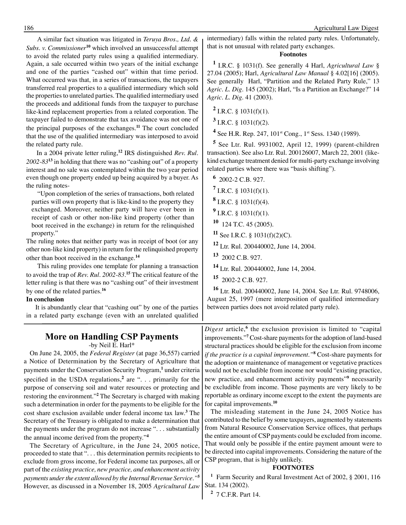A similar fact situation was litigated in *Teruya Bros., Ltd. & Subs. v. Commissioner*<sup>10</sup> which involved an unsuccessful attempt to avoid the related party rules using a qualified intermediary. Again, a sale occurred within two years of the initial exchange and one of the parties "cashed out" within that time period. What occurred was that, in a series of transactions, the taxpayers transferred real properties to a qualified intermediary which sold the properties to unrelated parties. The qualified intermediary used the proceeds and additional funds from the taxpayer to purchase like-kind replacement properties from a related corporation. The taxpayer failed to demonstrate that tax avoidance was not one of the principal purposes of the exchanges.**<sup>11</sup>**The court concluded that the use of the qualified intermediary was interposed to avoid the related party rule.

In a 2004 private letter ruling,**<sup>12</sup>**IRS distinguished *Rev. Rul. 2002-83***<sup>13</sup>**in holding that there was no "cashing out" of a property interest and no sale was contemplated within the two year period even though one property ended up being acquired by a buyer. As the ruling notes-

"Upon completion of the series of transactions, both related parties will own property that is like-kind to the property they exchanged. Moreover, neither party will have ever been in receipt of cash or other non-like kind property (other than boot received in the exchange) in return for the relinquished property."

The ruling notes that neither party was in receipt of boot (or any other non-like kind property) in return for the relinquished property other than boot received in the exchange.**<sup>14</sup>**

This ruling provides one template for planning a transaction to avoid the trap of *Rev. Rul. 2002-83.***<sup>15</sup>**The critical feature of the letter ruling is that there was no "cashing out" of their investment by one of the related parties.**<sup>16</sup>**

### **In conclusion**

It is abundantly clear that "cashing out" by one of the parties in a related party exchange (even with an unrelated qualified

# **More on Handling CSP Payments**

-by Neil E. Harl\*

On June 24, 2005, the *Federal Register* (at page 36,557) carried a Notice of Determination by the Secretary of Agriculture that payments under the Conservation Security Program,**<sup>1</sup>**under criteria specified in the USDA regulations, **<sup>2</sup>**are ". . . primarily for the purpose of conserving soil and water resources or protecting and restoring the environment."**<sup>2</sup>**The Secretary is charged with making such a determination in order for the payments to be eligible for the cost share exclusion available under federal income tax law. **<sup>3</sup>**The Secretary of the Treasury is obligated to make a determination that the payments under the program do not increase ". . . substantially the annual income derived from the property."**<sup>4</sup>**

The Secretary of Agriculture, in the June 24, 2005 notice, proceeded to state that ". . . this determination permits recipients to exclude from gross income, for Federal income tax purposes, all or part of the *existing practice, new practice, and enhancement activity payments under the extent allowed by the Internal Revenue Service."***<sup>5</sup>** However, as discussed in a November 18, 2005 *Agricultural Law*  intermediary) falls within the related party rules. Unfortunately, that is not unusual with related party exchanges.

## **Footnotes**

**<sup>1</sup>**I.R.C. § 1031(f). See generally 4 Harl, *Agricultural Law* § 27.04 (2005); Harl, *Agricultural Law Manual* § 4.02[16] (2005). See generally Harl, "Partition and the Related Party Rule," 13 *Agric. L. Dig*. 145 (2002); Harl, "Is a Partition an Exchange?" 14 *Agric. L. Dig*. 41 (2003).

 $^2$  I.R.C. § 1031(f)(1).

**3** I.R.C. § 1031(f)(2).

<sup>4</sup> See H.R. Rep. 247, 101<sup>st</sup> Cong., 1<sup>st</sup> Sess. 1340 (1989).

**<sup>5</sup>**See Ltr. Rul. 9931002, April 12, 1999) (parent-children transaction). See also Ltr. Rul. 200126007, March 22, 2001 (likekind exchange treatment denied for multi-party exchange involving related parties where there was "basis shifting").

**<sup>6</sup>** 2002-2 C.B. 927.

**7** I.R.C. § 1031(f)(1).

**8** I.R.C. § 1031(f)(4).

**9** I.R.C. § 1031(f)(1).

- **<sup>10</sup>** 124 T.C. 45 (2005).
- **11** See I.R.C. § 1031(f)(2)(C).

**<sup>12</sup>** Ltr. Rul. 200440002, June 14, 2004.

**<sup>13</sup>** 2002 C.B. 927.

**<sup>14</sup>** Ltr. Rul. 200440002, June 14, 2004.

**<sup>15</sup>** 2002-2 C.B. 927.

**<sup>16</sup>**Ltr. Rul. 200440002, June 14, 2004. See Ltr. Rul. 9748006, August 25, 1997 (mere interposition of qualified intermediary between parties does not avoid related party rule).

*Digest* article, **<sup>6</sup>**the exclusion provision is limited to "capital improvements."**<sup>7</sup>**Cost-share payments for the adoption of land-based structural practices should be eligible for the exclusion from income *if the practice is a capital improvement."***<sup>8</sup>**Cost-share payments for the adoption or maintenance of management or vegetative practices would not be excludible from income nor would "existing practice, new practice, and enhancement activity payments"**<sup>9</sup>**necessarily be excludible from income. Those payments are very likely to be reportable as ordinary income except to the extent the payments are for capital improvements.**<sup>10</sup>**

The misleading statement in the June 24, 2005 Notice has contributed to the belief by some taxpayers, augmented by statements from Natural Resource Conservation Service offices, that perhaps the entire amount of CSP payments could be excluded from income. That would only be possible if the entire payment amount were to be directed into capital improvements. Considering the nature of the CSP program, that is highly unlikely.

#### **FOOTNOTES**

**<sup>1</sup>**Farm Security and Rural Investment Act of 2002, § 2001, 116 Stat. 134 (2002).

**2** 7 C.F.R. Part 14.